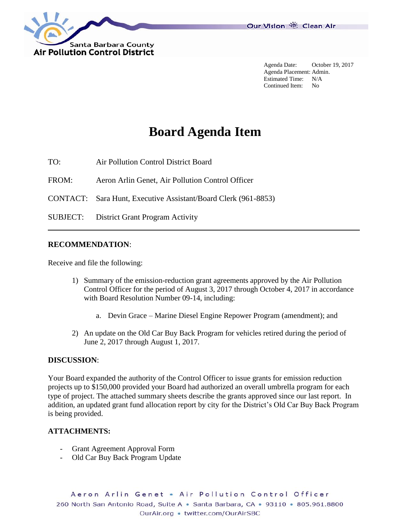

Agenda Date: October 19, 2017 Agenda Placement: Admin. Estimated Time: N/A Continued Item: No

# **Board Agenda Item**

TO: Air Pollution Control District Board

FROM: Aeron Arlin Genet, Air Pollution Control Officer

CONTACT: Sara Hunt, Executive Assistant/Board Clerk (961-8853)

SUBJECT: District Grant Program Activity

#### **RECOMMENDATION**:

Receive and file the following:

- 1) Summary of the emission-reduction grant agreements approved by the Air Pollution Control Officer for the period of August 3, 2017 through October 4, 2017 in accordance with Board Resolution Number 09-14, including:
	- a. Devin Grace Marine Diesel Engine Repower Program (amendment); and
- 2) An update on the Old Car Buy Back Program for vehicles retired during the period of June 2, 2017 through August 1, 2017.

#### **DISCUSSION**:

Your Board expanded the authority of the Control Officer to issue grants for emission reduction projects up to \$150,000 provided your Board had authorized an overall umbrella program for each type of project. The attached summary sheets describe the grants approved since our last report. In addition, an updated grant fund allocation report by city for the District's Old Car Buy Back Program is being provided.

#### **ATTACHMENTS:**

- Grant Agreement Approval Form
- Old Car Buy Back Program Update

Aeron Arlin Genet . Air Pollution Control Officer 260 North San Antonio Road, Suite A · Santa Barbara, CA · 93110 · 805.961.8800 OurAir.org . twitter.com/OurAirSBC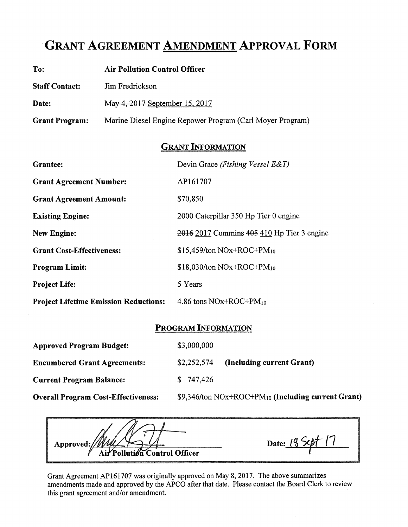## **GRANT AGREEMENT AMENDMENT APPROVAL FORM**

| To:                   | <b>Air Pollution Control Officer</b>                      |
|-----------------------|-----------------------------------------------------------|
| <b>Staff Contact:</b> | Jim Fredrickson                                           |
| Date:                 | May 4, 2017 September 15, 2017                            |
| <b>Grant Program:</b> | Marine Diesel Engine Repower Program (Carl Moyer Program) |

### **GRANT INFORMATION**

| <b>Grantee:</b>                              | Devin Grace (Fishing Vessel E&T)           |
|----------------------------------------------|--------------------------------------------|
| <b>Grant Agreement Number:</b>               | AP161707                                   |
| <b>Grant Agreement Amount:</b>               | \$70,850                                   |
| <b>Existing Engine:</b>                      | 2000 Caterpillar 350 Hp Tier 0 engine      |
| <b>New Engine:</b>                           | 2016 2017 Cummins 405 410 Hp Tier 3 engine |
| <b>Grant Cost-Effectiveness:</b>             | $$15,459$ /ton NOx+ROC+PM <sub>10</sub>    |
| <b>Program Limit:</b>                        | $$18,030$ /ton NOx+ROC+PM <sub>10</sub>    |
| <b>Project Life:</b>                         | 5 Years                                    |
| <b>Project Lifetime Emission Reductions:</b> | 4.86 tons $\text{NOx+ROC+PM}_{10}$         |

### **PROGRAM INFORMATION**

| <b>Approved Program Budget:</b>            | \$3,000,000                                                      |
|--------------------------------------------|------------------------------------------------------------------|
| <b>Encumbered Grant Agreements:</b>        | (Including current Grant)<br>\$2,252,574                         |
| <b>Current Program Balance:</b>            | \$747,426                                                        |
| <b>Overall Program Cost-Effectiveness:</b> | $$9,346$ /ton NOx+ROC+PM <sub>10</sub> (Including current Grant) |

Date: 18 Sept 17 Approved: Air Pollution Control Officer

Grant Agreement AP161707 was originally approved on May 8, 2017. The above summarizes amendments made and approved by the APCO after that date. Please contact the Board Clerk to review this grant agreement and/or amendment.